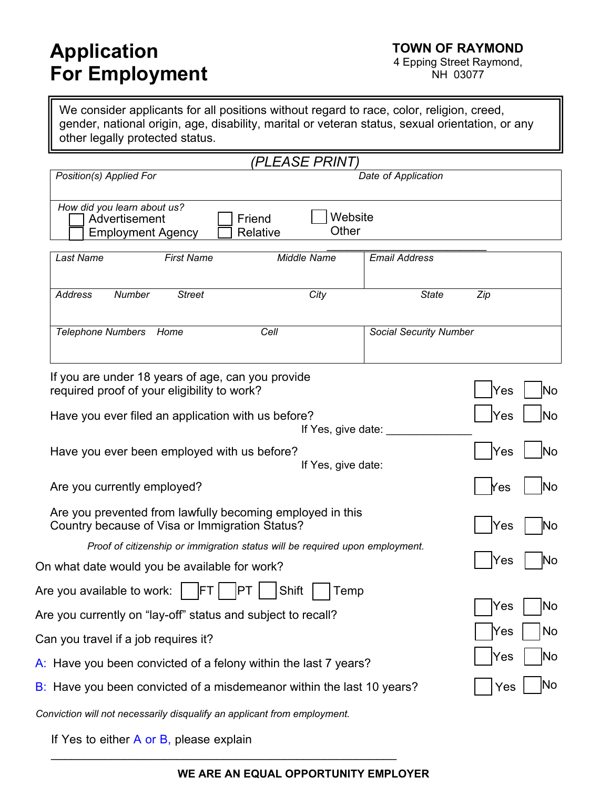# **Application For Employment**

NH 03077

We consider applicants for all positions without regard to race, color, religion, creed, gender, national origin, age, disability, marital or veteran status, sexual orientation, or any other legally protected status.

|                                                                                                             | (PLEASE PRINT)                                                               |                        |            |
|-------------------------------------------------------------------------------------------------------------|------------------------------------------------------------------------------|------------------------|------------|
| Position(s) Applied For                                                                                     |                                                                              | Date of Application    |            |
| How did you learn about us?<br>Advertisement<br><b>Employment Agency</b>                                    | Website<br>Friend<br>Other<br>Relative                                       |                        |            |
| <b>First Name</b><br>Last Name                                                                              | Middle Name                                                                  | <b>Email Address</b>   |            |
| <b>Address</b><br>Number<br><b>Street</b>                                                                   | City                                                                         | <b>State</b>           | Zip        |
| <b>Telephone Numbers</b><br>Home                                                                            | Cell                                                                         | Social Security Number |            |
|                                                                                                             |                                                                              |                        |            |
| If you are under 18 years of age, can you provide<br>required proof of your eligibility to work?            |                                                                              |                        | Yes<br>No  |
| Have you ever filed an application with us before?                                                          | If Yes, give date:                                                           |                        | Yes<br>lNo |
| Have you ever been employed with us before?                                                                 | If Yes, give date:                                                           |                        | Yes<br>lNo |
| Are you currently employed?                                                                                 | lNo<br>Yes                                                                   |                        |            |
| Are you prevented from lawfully becoming employed in this<br>Country because of Visa or Immigration Status? | Yes                                                                          |                        |            |
|                                                                                                             | Proof of citizenship or immigration status will be required upon employment. |                        |            |
| On what date would you be available for work?                                                               |                                                                              |                        | Yes        |
| FT <br>Are you available to work:                                                                           | PT<br>Shift<br>Temp                                                          |                        |            |
| Are you currently on "lay-off" status and subject to recall?                                                | Yes<br>No                                                                    |                        |            |
| Can you travel if a job requires it?                                                                        |                                                                              |                        | Yes<br>No  |
| A: Have you been convicted of a felony within the last 7 years?                                             | Yes<br> No                                                                   |                        |            |
| B: Have you been convicted of a misdemeanor within the last 10 years?                                       |                                                                              |                        | lNo<br>Yes |
|                                                                                                             |                                                                              |                        |            |

*Conviction will not necessarily disqualify an applicant from employment.*

\_\_\_\_\_\_\_\_\_\_\_\_\_\_\_\_\_\_\_\_\_\_\_\_\_\_\_\_\_\_\_\_\_\_\_\_\_\_\_\_\_\_\_\_\_\_\_\_\_\_\_\_

If Yes to either A or B, please explain

#### **WE ARE AN EQUAL OPPORTUNITY EMPLOYER**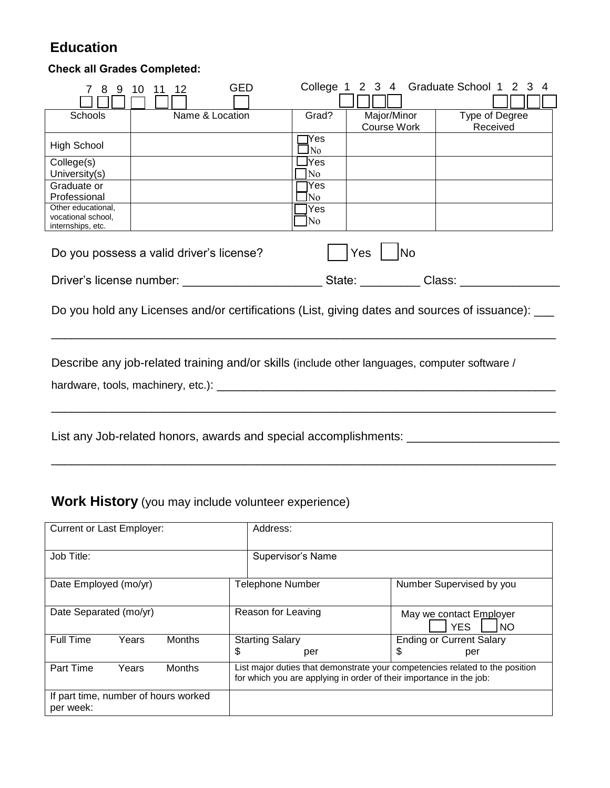## **Education**

### **Check all Grades Completed:**

| 8                                                                                                 | <b>GED</b><br>10<br>12 | College 1           |             | 2 3 4 Graduate School 1 2 3<br>$\overline{4}$ |  |  |
|---------------------------------------------------------------------------------------------------|------------------------|---------------------|-------------|-----------------------------------------------|--|--|
|                                                                                                   |                        |                     |             |                                               |  |  |
| Schools                                                                                           | Name & Location        | Grad?               | Major/Minor | Type of Degree                                |  |  |
|                                                                                                   |                        |                     | Course Work | Received                                      |  |  |
| <b>High School</b>                                                                                |                        | $\gamma$ es<br>l No |             |                                               |  |  |
| College(s)                                                                                        |                        | ]Yes                |             |                                               |  |  |
| University(s)                                                                                     |                        | N <sub>o</sub>      |             |                                               |  |  |
| Graduate or                                                                                       |                        | lYes                |             |                                               |  |  |
| Professional                                                                                      |                        | lNo.                |             |                                               |  |  |
| Other educational,                                                                                |                        | lYes                |             |                                               |  |  |
| vocational school,<br>internships, etc.                                                           |                        | No.                 |             |                                               |  |  |
| Yes<br><b>INo</b><br>Do you possess a valid driver's license?                                     |                        |                     |             |                                               |  |  |
| Do you hold any Licenses and/or certifications (List, giving dates and sources of issuance): ____ |                        |                     |             |                                               |  |  |
| Describe any job-related training and/or skills (include other languages, computer software /     |                        |                     |             |                                               |  |  |
|                                                                                                   |                        |                     |             |                                               |  |  |
| List any Job-related honors, awards and special accomplishments: _______________                  |                        |                     |             |                                               |  |  |

### **Work History** (you may include volunteer experience)

| <b>Current or Last Employer:</b>                  |       |                    |                                                                                                                                                     | Address:                                           |                                              |  |
|---------------------------------------------------|-------|--------------------|-----------------------------------------------------------------------------------------------------------------------------------------------------|----------------------------------------------------|----------------------------------------------|--|
| Job Title:                                        |       |                    |                                                                                                                                                     | Supervisor's Name                                  |                                              |  |
| Date Employed (mo/yr)                             |       |                    |                                                                                                                                                     | <b>Telephone Number</b>                            | Number Supervised by you                     |  |
| Date Separated (mo/yr)                            |       | Reason for Leaving |                                                                                                                                                     | May we contact Employer<br><b>YES</b><br><b>NO</b> |                                              |  |
| Full Time                                         | Years | <b>Months</b>      | <b>Starting Salary</b><br>\$<br>per                                                                                                                 |                                                    | <b>Ending or Current Salary</b><br>\$<br>per |  |
| Part Time                                         | Years | <b>Months</b>      | List major duties that demonstrate your competencies related to the position<br>for which you are applying in order of their importance in the job: |                                                    |                                              |  |
| If part time, number of hours worked<br>per week: |       |                    |                                                                                                                                                     |                                                    |                                              |  |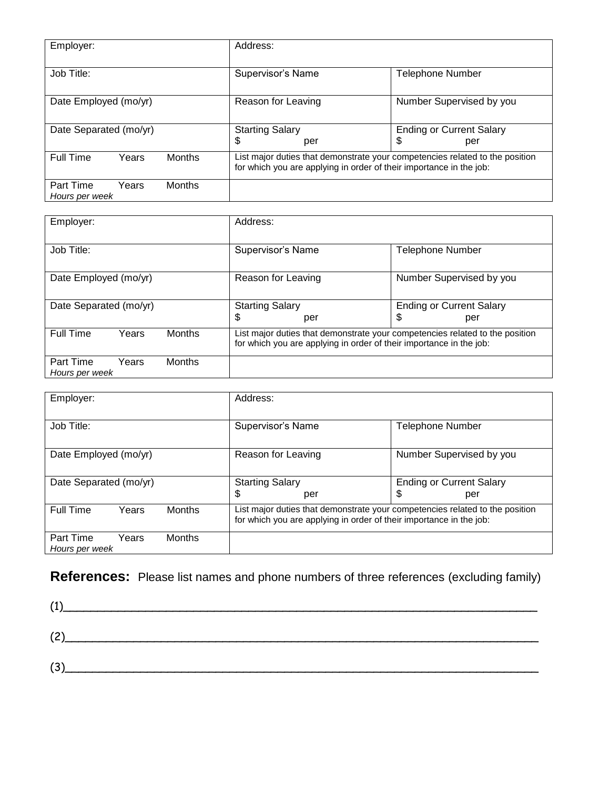| Employer:                   |       | Address:                                                  |                                                                                                                                                     |                          |                         |  |
|-----------------------------|-------|-----------------------------------------------------------|-----------------------------------------------------------------------------------------------------------------------------------------------------|--------------------------|-------------------------|--|
| Job Title:                  |       |                                                           | Supervisor's Name                                                                                                                                   |                          | <b>Telephone Number</b> |  |
| Date Employed (mo/yr)       |       | Reason for Leaving                                        |                                                                                                                                                     | Number Supervised by you |                         |  |
| Date Separated (mo/yr)      |       | <b>Ending or Current Salary</b><br><b>Starting Salary</b> |                                                                                                                                                     |                          |                         |  |
|                             |       |                                                           | \$<br>per                                                                                                                                           |                          | \$<br>per               |  |
| <b>Full Time</b>            | Years | <b>Months</b>                                             | List major duties that demonstrate your competencies related to the position<br>for which you are applying in order of their importance in the job: |                          |                         |  |
| Part Time<br>Hours per week | Years | <b>Months</b>                                             |                                                                                                                                                     |                          |                         |  |

| Employer:                   |       | Address:               |                                                                                                                                                     |                          |  |
|-----------------------------|-------|------------------------|-----------------------------------------------------------------------------------------------------------------------------------------------------|--------------------------|--|
| Job Title:                  |       |                        | Supervisor's Name                                                                                                                                   | <b>Telephone Number</b>  |  |
| Date Employed (mo/yr)       |       |                        | Reason for Leaving                                                                                                                                  | Number Supervised by you |  |
| Date Separated (mo/yr)      |       | <b>Starting Salary</b> | <b>Ending or Current Salary</b>                                                                                                                     |                          |  |
|                             |       |                        | \$<br>per                                                                                                                                           | \$<br>per                |  |
| <b>Full Time</b>            | Years | <b>Months</b>          | List major duties that demonstrate your competencies related to the position<br>for which you are applying in order of their importance in the job: |                          |  |
| Part Time<br>Hours per week | Years | <b>Months</b>          |                                                                                                                                                     |                          |  |

| Employer:                   |       |               | Address:                                                                                                                                            |                                 |  |  |
|-----------------------------|-------|---------------|-----------------------------------------------------------------------------------------------------------------------------------------------------|---------------------------------|--|--|
| Job Title:                  |       |               | Supervisor's Name                                                                                                                                   | <b>Telephone Number</b>         |  |  |
| Date Employed (mo/yr)       |       |               | Reason for Leaving                                                                                                                                  | Number Supervised by you        |  |  |
| Date Separated (mo/yr)      |       |               | <b>Starting Salary</b>                                                                                                                              | <b>Ending or Current Salary</b> |  |  |
|                             |       |               | \$<br>per                                                                                                                                           | \$<br>per                       |  |  |
| <b>Full Time</b>            | Years | <b>Months</b> | List major duties that demonstrate your competencies related to the position<br>for which you are applying in order of their importance in the job: |                                 |  |  |
| Part Time<br>Hours per week | Years | <b>Months</b> |                                                                                                                                                     |                                 |  |  |

### **References:** Please list names and phone numbers of three references (excluding family)

|     | <u> 1980 - Jan Stein Berlin, Amerikaansk politiker (</u> |  |  |
|-----|----------------------------------------------------------|--|--|
|     | (2)                                                      |  |  |
| (3) |                                                          |  |  |